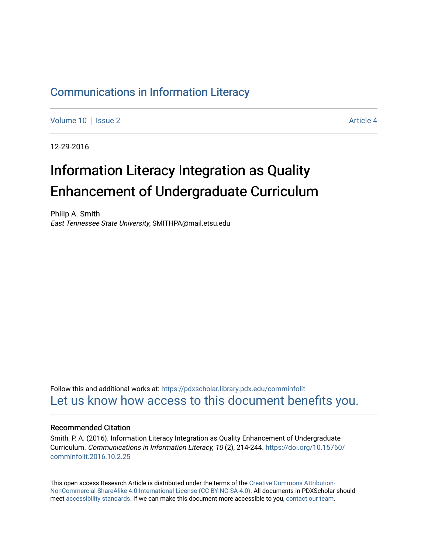# [Communications in Information Literacy](https://pdxscholar.library.pdx.edu/comminfolit)

[Volume 10](https://pdxscholar.library.pdx.edu/comminfolit/vol10) | [Issue 2](https://pdxscholar.library.pdx.edu/comminfolit/vol10/iss2) Article 4

12-29-2016

# Information Literacy Integration as Quality Enhancement of Undergraduate Curriculum

Philip A. Smith East Tennessee State University, SMITHPA@mail.etsu.edu

Follow this and additional works at: [https://pdxscholar.library.pdx.edu/comminfolit](https://pdxscholar.library.pdx.edu/comminfolit?utm_source=pdxscholar.library.pdx.edu%2Fcomminfolit%2Fvol10%2Fiss2%2F4&utm_medium=PDF&utm_campaign=PDFCoverPages)  [Let us know how access to this document benefits you.](http://library.pdx.edu/services/pdxscholar-services/pdxscholar-feedback/) 

#### Recommended Citation

Smith, P. A. (2016). Information Literacy Integration as Quality Enhancement of Undergraduate Curriculum. Communications in Information Literacy, 10 (2), 214-244. [https://doi.org/10.15760/](https://doi.org/10.15760/comminfolit.2016.10.2.25) [comminfolit.2016.10.2.25](https://doi.org/10.15760/comminfolit.2016.10.2.25) 

This open access Research Article is distributed under the terms of the [Creative Commons Attribution-](https://creativecommons.org/licenses/by-nc-sa/4.0/)[NonCommercial-ShareAlike 4.0 International License \(CC BY-NC-SA 4.0\)](https://creativecommons.org/licenses/by-nc-sa/4.0/). All documents in PDXScholar should meet [accessibility standards](https://pdxscholar.library.pdx.edu/accessibility.html). If we can make this document more accessible to you, [contact our team.](mailto:pdxscholar@pdx.edu)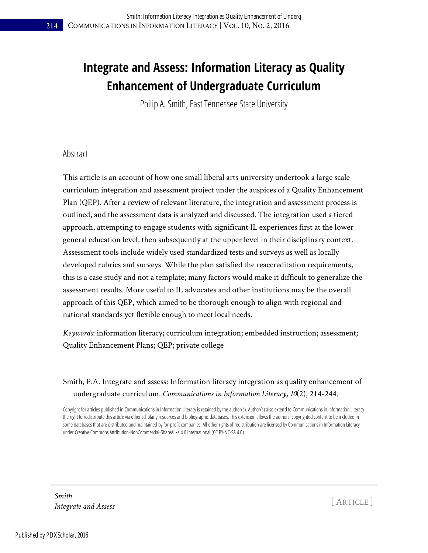# **Integrate and Assess: Information Literacy as Quality Enhancement of Undergraduate Curriculum**

Philip A. Smith, East Tennessee State University

### Abstract

This article is an account of how one small liberal arts university undertook a large scale curriculum integration and assessment project under the auspices of a Quality Enhancement Plan (QEP). After a review of relevant literature, the integration and assessment process is outlined, and the assessment data is analyzed and discussed. The integration used a tiered approach, attempting to engage students with significant IL experiences first at the lower general education level, then subsequently at the upper level in their disciplinary context. Assessment tools include widely used standardized tests and surveys as well as locally developed rubrics and surveys. While the plan satisfied the reaccreditation requirements, this is a case study and not a template; many factors would make it difficult to generalize the assessment results. More useful to IL advocates and other institutions may be the overall approach of this QEP, which aimed to be thorough enough to align with regional and national standards yet flexible enough to meet local needs.

*Keywords*: information literacy; curriculum integration; embedded instruction; assessment; Quality Enhancement Plans; QEP; private college

### Smith, P.A. Integrate and assess: Information literacy integration as quality enhancement of undergraduate curriculum. *Communications in Information Literacy, 10*(2), 214-244.

Copyright for articles published in Communications in Information Literacy is retained by the author(s). Author(s) also extend to Communications in Information Literacy the right to redistribute this article via other scholarly resources and bibliographic databases. This extension allows the authors' copyrighted content to be included in some databases that are distributed and maintained by for-profit companies. All other rights of redistribution are licensed by Communications in Information Literacy under Creative Commons Attribution-NonCommercial-ShareAlike 4.0 International (CC BY-NC-SA 4.0).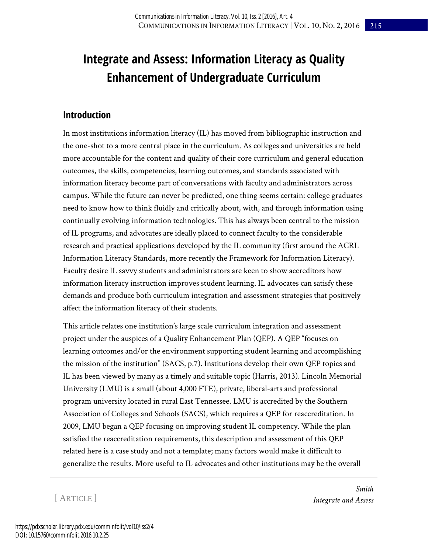# **Integrate and Assess: Information Literacy as Quality Enhancement of Undergraduate Curriculum**

# **Introduction**

In most institutions information literacy (IL) has moved from bibliographic instruction and the one-shot to a more central place in the curriculum. As colleges and universities are held more accountable for the content and quality of their core curriculum and general education outcomes, the skills, competencies, learning outcomes, and standards associated with information literacy become part of conversations with faculty and administrators across campus. While the future can never be predicted, one thing seems certain: college graduates need to know how to think fluidly and critically about, with, and through information using continually evolving information technologies. This has always been central to the mission of IL programs, and advocates are ideally placed to connect faculty to the considerable research and practical applications developed by the IL community (first around the ACRL Information Literacy Standards, more recently the Framework for Information Literacy). Faculty desire IL savvy students and administrators are keen to show accreditors how information literacy instruction improves student learning. IL advocates can satisfy these demands and produce both curriculum integration and assessment strategies that positively affect the information literacy of their students.

This article relates one institution's large scale curriculum integration and assessment project under the auspices of a Quality Enhancement Plan (QEP). A QEP "focuses on learning outcomes and/or the environment supporting student learning and accomplishing the mission of the institution" (SACS, p.7). Institutions develop their own QEP topics and IL has been viewed by many as a timely and suitable topic (Harris, 2013). Lincoln Memorial University (LMU) is a small (about 4,000 FTE), private, liberal-arts and professional program university located in rural East Tennessee. LMU is accredited by the Southern Association of Colleges and Schools (SACS), which requires a QEP for reaccreditation. In 2009, LMU began a QEP focusing on improving student IL competency. While the plan satisfied the reaccreditation requirements, this description and assessment of this QEP related here is a case study and not a template; many factors would make it difficult to generalize the results. More useful to IL advocates and other institutions may be the overall

[ ARTICLE ]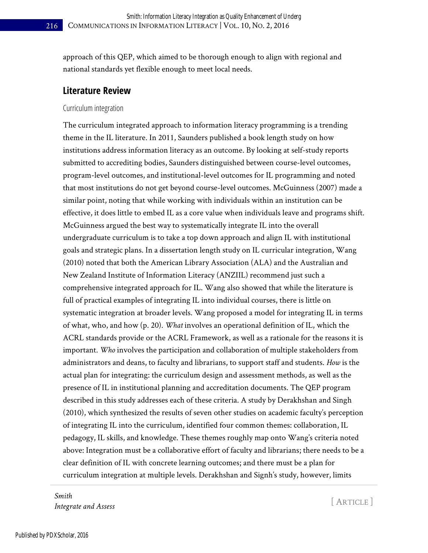approach of this QEP, which aimed to be thorough enough to align with regional and national standards yet flexible enough to meet local needs.

### **Literature Review**

#### Curriculum integration

The curriculum integrated approach to information literacy programming is a trending theme in the IL literature. In 2011, Saunders published a book length study on how institutions address information literacy as an outcome. By looking at self-study reports submitted to accrediting bodies, Saunders distinguished between course-level outcomes, program-level outcomes, and institutional-level outcomes for IL programming and noted that most institutions do not get beyond course-level outcomes. McGuinness (2007) made a similar point, noting that while working with individuals within an institution can be effective, it does little to embed IL as a core value when individuals leave and programs shift. McGuinness argued the best way to systematically integrate IL into the overall undergraduate curriculum is to take a top down approach and align IL with institutional goals and strategic plans. In a dissertation length study on IL curricular integration, Wang (2010) noted that both the American Library Association (ALA) and the Australian and New Zealand Institute of Information Literacy (ANZIIL) recommend just such a comprehensive integrated approach for IL. Wang also showed that while the literature is full of practical examples of integrating IL into individual courses, there is little on systematic integration at broader levels. Wang proposed a model for integrating IL in terms of what, who, and how (p. 20). *What* involves an operational definition of IL, which the ACRL standards provide or the ACRL Framework, as well as a rationale for the reasons it is important. *Who* involves the participation and collaboration of multiple stakeholders from administrators and deans, to faculty and librarians, to support staff and students. *How* is the actual plan for integrating: the curriculum design and assessment methods, as well as the presence of IL in institutional planning and accreditation documents. The QEP program described in this study addresses each of these criteria. A study by Derakhshan and Singh (2010), which synthesized the results of seven other studies on academic faculty's perception of integrating IL into the curriculum, identified four common themes: collaboration, IL pedagogy, IL skills, and knowledge. These themes roughly map onto Wang's criteria noted above: Integration must be a collaborative effort of faculty and librarians; there needs to be a clear definition of IL with concrete learning outcomes; and there must be a plan for curriculum integration at multiple levels. Derakhshan and Signh's study, however, limits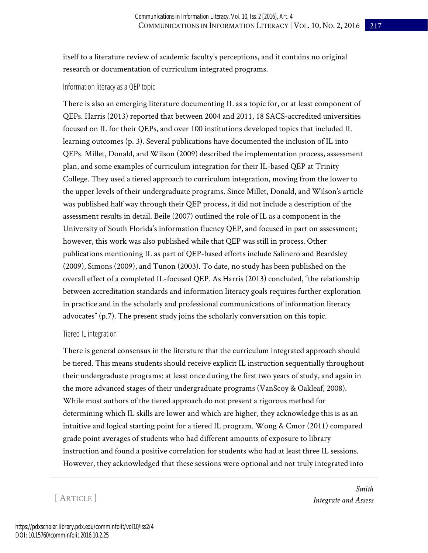itself to a literature review of academic faculty's perceptions, and it contains no original research or documentation of curriculum integrated programs.

#### Information literacy as a QEP topic

There is also an emerging literature documenting IL as a topic for, or at least component of QEPs. Harris (2013) reported that between 2004 and 2011, 18 SACS-accredited universities focused on IL for their QEPs, and over 100 institutions developed topics that included IL learning outcomes (p. 3). Several publications have documented the inclusion of IL into QEPs. Millet, Donald, and Wilson (2009) described the implementation process, assessment plan, and some examples of curriculum integration for their IL-based QEP at Trinity College. They used a tiered approach to curriculum integration, moving from the lower to the upper levels of their undergraduate programs. Since Millet, Donald, and Wilson's article was published half way through their QEP process, it did not include a description of the assessment results in detail. Beile (2007) outlined the role of IL as a component in the University of South Florida's information fluency QEP, and focused in part on assessment; however, this work was also published while that QEP was still in process. Other publications mentioning IL as part of QEP-based efforts include Salinero and Beardsley (2009), Simons (2009), and Tunon (2003). To date, no study has been published on the overall effect of a completed IL-focused QEP. As Harris (2013) concluded, "the relationship between accreditation standards and information literacy goals requires further exploration in practice and in the scholarly and professional communications of information literacy advocates" (p.7). The present study joins the scholarly conversation on this topic.

#### Tiered IL integration

There is general consensus in the literature that the curriculum integrated approach should be tiered. This means students should receive explicit IL instruction sequentially throughout their undergraduate programs: at least once during the first two years of study, and again in the more advanced stages of their undergraduate programs (VanScoy & Oakleaf, 2008). While most authors of the tiered approach do not present a rigorous method for determining which IL skills are lower and which are higher, they acknowledge this is as an intuitive and logical starting point for a tiered IL program. Wong & Cmor (2011) compared grade point averages of students who had different amounts of exposure to library instruction and found a positive correlation for students who had at least three IL sessions. However, they acknowledged that these sessions were optional and not truly integrated into

[ ARTICLE ]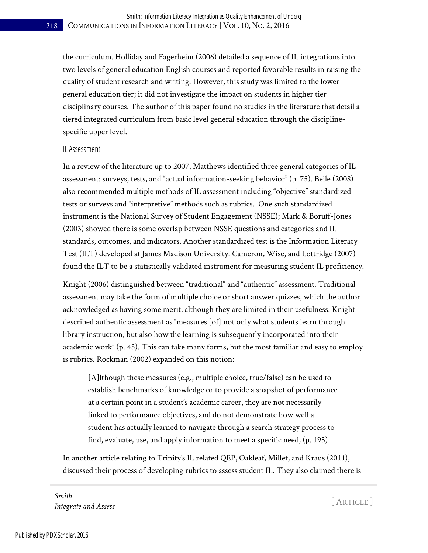the curriculum. Holliday and Fagerheim (2006) detailed a sequence of IL integrations into two levels of general education English courses and reported favorable results in raising the quality of student research and writing. However, this study was limited to the lower general education tier; it did not investigate the impact on students in higher tier disciplinary courses. The author of this paper found no studies in the literature that detail a tiered integrated curriculum from basic level general education through the disciplinespecific upper level.

#### IL Assessment

In a review of the literature up to 2007, Matthews identified three general categories of IL assessment: surveys, tests, and "actual information-seeking behavior" (p. 75). Beile (2008) also recommended multiple methods of IL assessment including "objective" standardized tests or surveys and "interpretive" methods such as rubrics. One such standardized instrument is the National Survey of Student Engagement (NSSE); Mark & Boruff-Jones (2003) showed there is some overlap between NSSE questions and categories and IL standards, outcomes, and indicators. Another standardized test is the Information Literacy Test (ILT) developed at James Madison University. Cameron, Wise, and Lottridge (2007) found the ILT to be a statistically validated instrument for measuring student IL proficiency.

Knight (2006) distinguished between "traditional" and "authentic" assessment. Traditional assessment may take the form of multiple choice or short answer quizzes, which the author acknowledged as having some merit, although they are limited in their usefulness. Knight described authentic assessment as "measures [of] not only what students learn through library instruction, but also how the learning is subsequently incorporated into their academic work" (p. 45). This can take many forms, but the most familiar and easy to employ is rubrics. Rockman (2002) expanded on this notion:

[A]lthough these measures (e.g., multiple choice, true/false) can be used to establish benchmarks of knowledge or to provide a snapshot of performance at a certain point in a student's academic career, they are not necessarily linked to performance objectives, and do not demonstrate how well a student has actually learned to navigate through a search strategy process to find, evaluate, use, and apply information to meet a specific need, (p. 193)

In another article relating to Trinity's IL related QEP, Oakleaf, Millet, and Kraus (2011), discussed their process of developing rubrics to assess student IL. They also claimed there is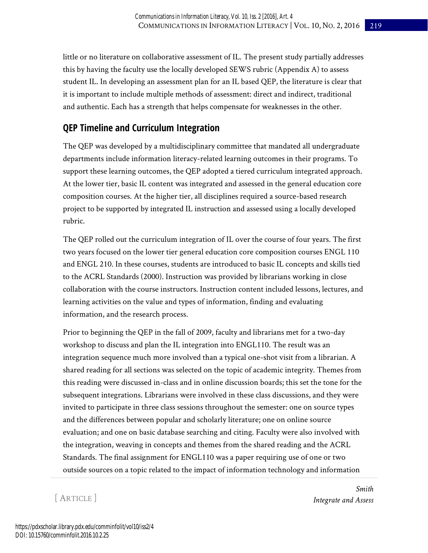little or no literature on collaborative assessment of IL. The present study partially addresses this by having the faculty use the locally developed SEWS rubric (Appendix A) to assess student IL. In developing an assessment plan for an IL based QEP, the literature is clear that it is important to include multiple methods of assessment: direct and indirect, traditional and authentic. Each has a strength that helps compensate for weaknesses in the other.

# **QEP Timeline and Curriculum Integration**

The QEP was developed by a multidisciplinary committee that mandated all undergraduate departments include information literacy-related learning outcomes in their programs. To support these learning outcomes, the QEP adopted a tiered curriculum integrated approach. At the lower tier, basic IL content was integrated and assessed in the general education core composition courses. At the higher tier, all disciplines required a source-based research project to be supported by integrated IL instruction and assessed using a locally developed rubric.

The QEP rolled out the curriculum integration of IL over the course of four years. The first two years focused on the lower tier general education core composition courses ENGL 110 and ENGL 210. In these courses, students are introduced to basic IL concepts and skills tied to the ACRL Standards (2000). Instruction was provided by librarians working in close collaboration with the course instructors. Instruction content included lessons, lectures, and learning activities on the value and types of information, finding and evaluating information, and the research process.

Prior to beginning the QEP in the fall of 2009, faculty and librarians met for a two-day workshop to discuss and plan the IL integration into ENGL110. The result was an integration sequence much more involved than a typical one-shot visit from a librarian. A shared reading for all sections was selected on the topic of academic integrity. Themes from this reading were discussed in-class and in online discussion boards; this set the tone for the subsequent integrations. Librarians were involved in these class discussions, and they were invited to participate in three class sessions throughout the semester: one on source types and the differences between popular and scholarly literature; one on online source evaluation; and one on basic database searching and citing. Faculty were also involved with the integration, weaving in concepts and themes from the shared reading and the ACRL Standards. The final assignment for ENGL110 was a paper requiring use of one or two outside sources on a topic related to the impact of information technology and information

[ ARTICLE ]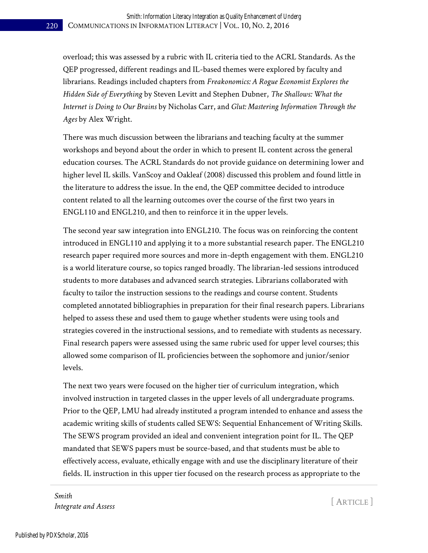overload; this was assessed by a rubric with IL criteria tied to the ACRL Standards. As the QEP progressed, different readings and IL-based themes were explored by faculty and librarians. Readings included chapters from *Freakonomics: A Rogue Economist Explores the Hidden Side of Everything* by Steven Levitt and Stephen Dubner, *The Shallows: What the Internet is Doing to Our Brains* by Nicholas Carr, and *Glut: Mastering Information Through the Ages* by Alex Wright.

There was much discussion between the librarians and teaching faculty at the summer workshops and beyond about the order in which to present IL content across the general education courses. The ACRL Standards do not provide guidance on determining lower and higher level IL skills. VanScoy and Oakleaf (2008) discussed this problem and found little in the literature to address the issue. In the end, the QEP committee decided to introduce content related to all the learning outcomes over the course of the first two years in ENGL110 and ENGL210, and then to reinforce it in the upper levels.

The second year saw integration into ENGL210. The focus was on reinforcing the content introduced in ENGL110 and applying it to a more substantial research paper. The ENGL210 research paper required more sources and more in-depth engagement with them. ENGL210 is a world literature course, so topics ranged broadly. The librarian-led sessions introduced students to more databases and advanced search strategies. Librarians collaborated with faculty to tailor the instruction sessions to the readings and course content. Students completed annotated bibliographies in preparation for their final research papers. Librarians helped to assess these and used them to gauge whether students were using tools and strategies covered in the instructional sessions, and to remediate with students as necessary. Final research papers were assessed using the same rubric used for upper level courses; this allowed some comparison of IL proficiencies between the sophomore and junior/senior levels.

The next two years were focused on the higher tier of curriculum integration, which involved instruction in targeted classes in the upper levels of all undergraduate programs. Prior to the QEP, LMU had already instituted a program intended to enhance and assess the academic writing skills of students called SEWS: Sequential Enhancement of Writing Skills. The SEWS program provided an ideal and convenient integration point for IL. The QEP mandated that SEWS papers must be source-based, and that students must be able to effectively access, evaluate, ethically engage with and use the disciplinary literature of their fields. IL instruction in this upper tier focused on the research process as appropriate to the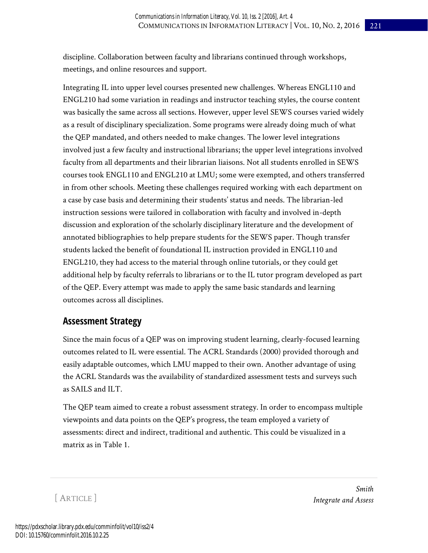discipline. Collaboration between faculty and librarians continued through workshops, meetings, and online resources and support.

Integrating IL into upper level courses presented new challenges. Whereas ENGL110 and ENGL210 had some variation in readings and instructor teaching styles, the course content was basically the same across all sections. However, upper level SEWS courses varied widely as a result of disciplinary specialization. Some programs were already doing much of what the QEP mandated, and others needed to make changes. The lower level integrations involved just a few faculty and instructional librarians; the upper level integrations involved faculty from all departments and their librarian liaisons. Not all students enrolled in SEWS courses took ENGL110 and ENGL210 at LMU; some were exempted, and others transferred in from other schools. Meeting these challenges required working with each department on a case by case basis and determining their students' status and needs. The librarian-led instruction sessions were tailored in collaboration with faculty and involved in-depth discussion and exploration of the scholarly disciplinary literature and the development of annotated bibliographies to help prepare students for the SEWS paper. Though transfer students lacked the benefit of foundational IL instruction provided in ENGL110 and ENGL210, they had access to the material through online tutorials, or they could get additional help by faculty referrals to librarians or to the IL tutor program developed as part of the QEP. Every attempt was made to apply the same basic standards and learning outcomes across all disciplines.

### **Assessment Strategy**

Since the main focus of a QEP was on improving student learning, clearly-focused learning outcomes related to IL were essential. The ACRL Standards (2000) provided thorough and easily adaptable outcomes, which LMU mapped to their own. Another advantage of using the ACRL Standards was the availability of standardized assessment tests and surveys such as SAILS and ILT.

The QEP team aimed to create a robust assessment strategy. In order to encompass multiple viewpoints and data points on the QEP's progress, the team employed a variety of assessments: direct and indirect, traditional and authentic. This could be visualized in a matrix as in Table 1.

[ ARTICLE ]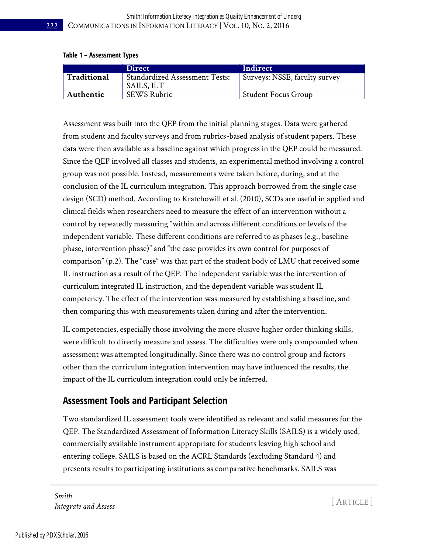#### **Table 1 – Assessment Types**

|             | <b>Direct</b>                                       | Indirect                      |
|-------------|-----------------------------------------------------|-------------------------------|
| Traditional | <b>Standardized Assessment Tests:</b><br>SAILS, ILT | Surveys: NSSE, faculty survey |
| Authentic   | <b>SEWS Rubric</b>                                  | <b>Student Focus Group</b>    |

Assessment was built into the QEP from the initial planning stages. Data were gathered from student and faculty surveys and from rubrics-based analysis of student papers. These data were then available as a baseline against which progress in the QEP could be measured. Since the QEP involved all classes and students, an experimental method involving a control group was not possible. Instead, measurements were taken before, during, and at the conclusion of the IL curriculum integration. This approach borrowed from the single case design (SCD) method. According to Kratchowill et al. (2010), SCDs are useful in applied and clinical fields when researchers need to measure the effect of an intervention without a control by repeatedly measuring "within and across different conditions or levels of the independent variable. These different conditions are referred to as phases (e.g., baseline phase, intervention phase)" and "the case provides its own control for purposes of comparison" (p.2). The "case" was that part of the student body of LMU that received some IL instruction as a result of the QEP. The independent variable was the intervention of curriculum integrated IL instruction, and the dependent variable was student IL competency. The effect of the intervention was measured by establishing a baseline, and then comparing this with measurements taken during and after the intervention.

IL competencies, especially those involving the more elusive higher order thinking skills, were difficult to directly measure and assess. The difficulties were only compounded when assessment was attempted longitudinally. Since there was no control group and factors other than the curriculum integration intervention may have influenced the results, the impact of the IL curriculum integration could only be inferred.

## **Assessment Tools and Participant Selection**

Two standardized IL assessment tools were identified as relevant and valid measures for the QEP. The Standardized Assessment of Information Literacy Skills (SAILS) is a widely used, commercially available instrument appropriate for students leaving high school and entering college. SAILS is based on the ACRL Standards (excluding Standard 4) and presents results to participating institutions as comparative benchmarks. SAILS was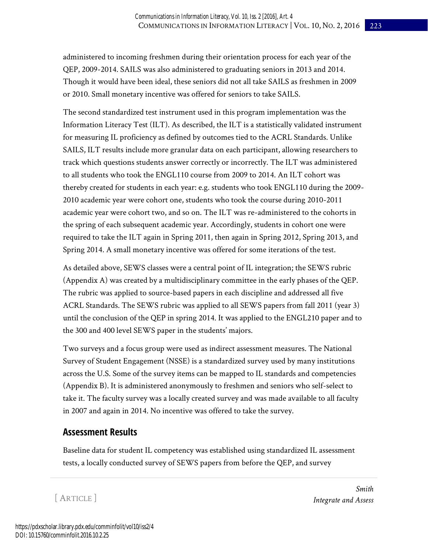administered to incoming freshmen during their orientation process for each year of the QEP, 2009-2014. SAILS was also administered to graduating seniors in 2013 and 2014. Though it would have been ideal, these seniors did not all take SAILS as freshmen in 2009 or 2010. Small monetary incentive was offered for seniors to take SAILS.

The second standardized test instrument used in this program implementation was the Information Literacy Test (ILT). As described, the ILT is a statistically validated instrument for measuring IL proficiency as defined by outcomes tied to the ACRL Standards. Unlike SAILS, ILT results include more granular data on each participant, allowing researchers to track which questions students answer correctly or incorrectly. The ILT was administered to all students who took the ENGL110 course from 2009 to 2014. An ILT cohort was thereby created for students in each year: e.g. students who took ENGL110 during the 2009- 2010 academic year were cohort one, students who took the course during 2010-2011 academic year were cohort two, and so on. The ILT was re-administered to the cohorts in the spring of each subsequent academic year. Accordingly, students in cohort one were required to take the ILT again in Spring 2011, then again in Spring 2012, Spring 2013, and Spring 2014. A small monetary incentive was offered for some iterations of the test.

As detailed above, SEWS classes were a central point of IL integration; the SEWS rubric (Appendix A) was created by a multidisciplinary committee in the early phases of the QEP. The rubric was applied to source-based papers in each discipline and addressed all five ACRL Standards. The SEWS rubric was applied to all SEWS papers from fall 2011 (year 3) until the conclusion of the QEP in spring 2014. It was applied to the ENGL210 paper and to the 300 and 400 level SEWS paper in the students' majors.

Two surveys and a focus group were used as indirect assessment measures. The National Survey of Student Engagement (NSSE) is a standardized survey used by many institutions across the U.S. Some of the survey items can be mapped to IL standards and competencies (Appendix B). It is administered anonymously to freshmen and seniors who self-select to take it. The faculty survey was a locally created survey and was made available to all faculty in 2007 and again in 2014. No incentive was offered to take the survey.

### **Assessment Results**

Baseline data for student IL competency was established using standardized IL assessment tests, a locally conducted survey of SEWS papers from before the QEP, and survey

[ ARTICLE ]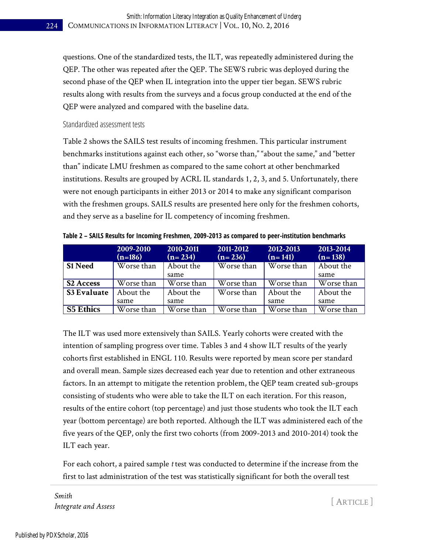questions. One of the standardized tests, the ILT, was repeatedly administered during the QEP. The other was repeated after the QEP. The SEWS rubric was deployed during the second phase of the QEP when IL integration into the upper tier began. SEWS rubric results along with results from the surveys and a focus group conducted at the end of the QEP were analyzed and compared with the baseline data.

#### Standardized assessment tests

Table 2 shows the SAILS test results of incoming freshmen. This particular instrument benchmarks institutions against each other, so "worse than," "about the same," and "better than" indicate LMU freshmen as compared to the same cohort at other benchmarked institutions. Results are grouped by ACRL IL standards 1, 2, 3, and 5. Unfortunately, there were not enough participants in either 2013 or 2014 to make any significant comparison with the freshmen groups. SAILS results are presented here only for the freshmen cohorts, and they serve as a baseline for IL competency of incoming freshmen.

|                    | 2009-2010<br>$(n=186)$ | 2010-2011<br>$(n=234)$ | 2011-2012<br>$(n=236)$ | 2012-2013<br>$(n=141)$ | 2013-2014<br>$(n=138)$ |
|--------------------|------------------------|------------------------|------------------------|------------------------|------------------------|
| <b>S1 Need</b>     | Worse than             | About the              | Worse than             | Worse than             | About the              |
|                    |                        | same                   |                        |                        | same                   |
| <b>S2 Access</b>   | Worse than             | Worse than             | Worse than             | Worse than             | Worse than             |
| <b>S3 Evaluate</b> | About the              | About the              | Worse than             | About the              | About the              |
|                    | same                   | same                   |                        | same                   | same                   |
| <b>S5 Ethics</b>   | Worse than             | Worse than             | Worse than             | Worse than             | Worse than             |

**Table 2 – SAILS Results for Incoming Freshmen, 2009-2013 as compared to peer-institution benchmarks**

The ILT was used more extensively than SAILS. Yearly cohorts were created with the intention of sampling progress over time. Tables 3 and 4 show ILT results of the yearly cohorts first established in ENGL 110. Results were reported by mean score per standard and overall mean. Sample sizes decreased each year due to retention and other extraneous factors. In an attempt to mitigate the retention problem, the QEP team created sub-groups consisting of students who were able to take the ILT on each iteration. For this reason, results of the entire cohort (top percentage) and just those students who took the ILT each year (bottom percentage) are both reported. Although the ILT was administered each of the five years of the QEP, only the first two cohorts (from 2009-2013 and 2010-2014) took the ILT each year.

For each cohort, a paired sample *t* test was conducted to determine if the increase from the first to last administration of the test was statistically significant for both the overall test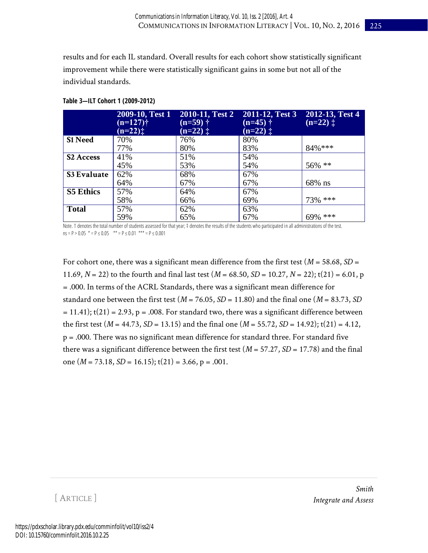results and for each IL standard. Overall results for each cohort show statistically significant improvement while there were statistically significant gains in some but not all of the individual standards.

|                    | 2009-10, Test 1<br>$(n=127)$ †<br>$(n=22)$ : | $2010-11$ , Test 2<br>$(n=59)$ †<br>$(n=22)$ $\pm$ | 2011-12, Test 3<br>$(n=45)$ †<br>$(n=22)$ $\ddagger$ | 2012-13, Test 4<br>$(n=22)$ $\ddagger$ |
|--------------------|----------------------------------------------|----------------------------------------------------|------------------------------------------------------|----------------------------------------|
| <b>S1 Need</b>     | 70%                                          | 76%                                                | 80%                                                  |                                        |
|                    | 77%                                          | 80%                                                | 83%                                                  | 84%***                                 |
| <b>S2 Access</b>   | 41%                                          | 51%                                                | 54%                                                  |                                        |
|                    | 45%                                          | 53%                                                | 54%                                                  | 56% **                                 |
| <b>S3 Evaluate</b> | 62%                                          | 68%                                                | 67%                                                  |                                        |
|                    | 64%                                          | 67%                                                | 67%                                                  | 68% ns                                 |
| <b>S5 Ethics</b>   | 57%                                          | 64%                                                | 67%                                                  |                                        |
|                    | 58%                                          | 66%                                                | 69%                                                  | 73% ***                                |
| <b>Total</b>       | 57%                                          | 62%                                                | 63%                                                  |                                        |
|                    | 59%                                          | 65%                                                | 67%                                                  | 69% ***                                |

#### **Table 3—ILT Cohort 1 (2009-2012)**

Note. † denotes the total number of students assessed for that year; ‡ denotes the results of the students who participated in all administrations of the test.  $ns = P > 0.05$  \* =  $P \le 0.05$  \* \* =  $P \le 0.01$  \*\*\* =  $P \le 0.001$ 

For cohort one, there was a significant mean difference from the first test ( $M = 58.68$ ,  $SD =$ 11.69,  $N = 22$ ) to the fourth and final last test  $(M = 68.50, SD = 10.27, N = 22)$ ; t(21) = 6.01, p = .000. In terms of the ACRL Standards, there was a significant mean difference for standard one between the first test ( $M = 76.05$ ,  $SD = 11.80$ ) and the final one ( $M = 83.73$ , *SD*)  $= 11.41$ ; t(21) = 2.93, p = .008. For standard two, there was a significant difference between the first test ( $M = 44.73$ ,  $SD = 13.15$ ) and the final one ( $M = 55.72$ ,  $SD = 14.92$ ); t(21) = 4.12, p = .000. There was no significant mean difference for standard three. For standard five there was a significant difference between the first test  $(M = 57.27, SD = 17.78)$  and the final one  $(M = 73.18, SD = 16.15)$ ;  $t(21) = 3.66, p = .001$ .

[ ARTICLE ]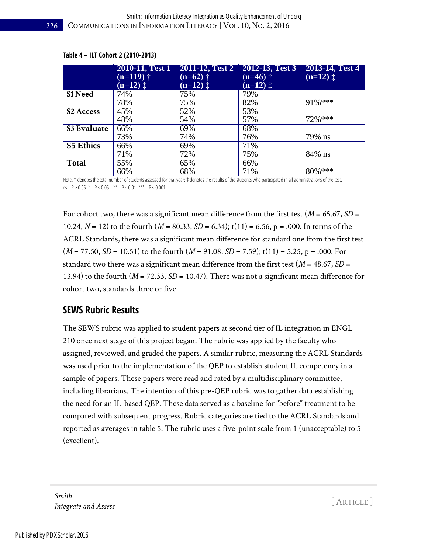|                    | 2010-11, Test 1<br>$(n=119)$ †<br>$(n=12)$ $\ddagger$ | 2011-12, Test 2<br>$(n=62)$ †<br>$(n=12)$ $\ddagger$ | 2012-13, Test 3<br>$(n=46)$ †<br>$(n=12)$ $\ddagger$ | 2013-14, Test 4<br>$(n=12)$ $\ddagger$ |
|--------------------|-------------------------------------------------------|------------------------------------------------------|------------------------------------------------------|----------------------------------------|
| <b>S1 Need</b>     | 74%                                                   | 75%                                                  | 79%                                                  |                                        |
|                    | 78%                                                   | 75%                                                  | 82%                                                  | $91\%$ ***                             |
| <b>S2 Access</b>   | 45%                                                   | 52%                                                  | 53%                                                  |                                        |
|                    | 48%                                                   | 54%                                                  | 57%                                                  | $72\%***$                              |
| <b>S3 Evaluate</b> | 66%                                                   | 69%                                                  | 68%                                                  |                                        |
|                    | 73%                                                   | 74%                                                  | 76%                                                  | 79% ns                                 |
| <b>S5 Ethics</b>   | 66%                                                   | 69%                                                  | 71%                                                  |                                        |
|                    | 71%                                                   | 72%                                                  | 75%                                                  | 84% ns                                 |
| <b>Total</b>       | 55%                                                   | 65%                                                  | 66%                                                  |                                        |
|                    | 66%                                                   | 68%                                                  | 71%                                                  | 80%***                                 |

#### **Table 4 – ILT Cohort 2 (2010-2013)**

Note. † denotes the total number of students assessed for that year; ‡ denotes the results of the students who participated in all administrations of the test.  $ns = P > 0.05$  \* =  $P \le 0.05$  \* \* =  $P \le 0.01$  \*\*\* =  $P \le 0.001$ 

For cohort two, there was a significant mean difference from the first test ( $M = 65.67$ ,  $SD =$ 10.24, *N* = 12) to the fourth (*M* = 80.33, *SD* = 6.34); t(11) = 6.56, p = .000. In terms of the ACRL Standards, there was a significant mean difference for standard one from the first test  $(M = 77.50, SD = 10.51)$  to the fourth  $(M = 91.08, SD = 7.59)$ ; t(11) = 5.25, p = .000. For standard two there was a significant mean difference from the first test ( $M = 48.67$ ,  $SD =$ 13.94) to the fourth  $(M = 72.33, SD = 10.47)$ . There was not a significant mean difference for cohort two, standards three or five.

### **SEWS Rubric Results**

The SEWS rubric was applied to student papers at second tier of IL integration in ENGL 210 once next stage of this project began. The rubric was applied by the faculty who assigned, reviewed, and graded the papers. A similar rubric, measuring the ACRL Standards was used prior to the implementation of the QEP to establish student IL competency in a sample of papers. These papers were read and rated by a multidisciplinary committee, including librarians. The intention of this pre-QEP rubric was to gather data establishing the need for an IL-based QEP. These data served as a baseline for "before" treatment to be compared with subsequent progress. Rubric categories are tied to the ACRL Standards and reported as averages in table 5. The rubric uses a five-point scale from 1 (unacceptable) to 5 (excellent).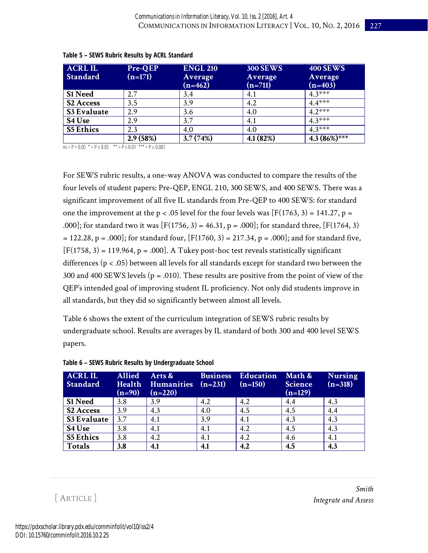| <b>ACRL IL</b><br><b>Standard</b> | Pre-QEP<br>$(n=171)$ | <b>ENGL 210</b><br>Average<br>$(n=462)$ | <b>300 SEWS</b><br>Average<br>$(n=711)$ | <b>400 SEWS</b><br>Average<br>$(n=403)$ |
|-----------------------------------|----------------------|-----------------------------------------|-----------------------------------------|-----------------------------------------|
| <b>S1 Need</b>                    | 2.7                  | 3.4                                     | 4.1                                     | $4.3***$                                |
| <b>S2 Access</b>                  | 3.5                  | 3.9                                     | 4.2                                     | $4.4***$                                |
| S3 Evaluate                       | 2.9                  | 3.6                                     | 4.0                                     | $4.2***$                                |
| S <sub>4</sub> Use                | 2.9                  | 3.7                                     | 4.1                                     | $4.3***$                                |
| <b>S5 Ethics</b>                  | 2.3                  | 4.0                                     | 4.0                                     | $4.3***$                                |
|                                   | 2.9(58%)             | 3.7(74%)                                | 4.1(82%)                                | $4.3(86\%)$ ***                         |

#### **Table 5 – SEWS Rubric Results by ACRL Standard**

 $ns = P > 0.05$  \* = P  $\leq$  0.05 \*\* = P  $\leq$  0.01 \*\*\* = P  $\leq$  0.001

For SEWS rubric results, a one-way ANOVA was conducted to compare the results of the four levels of student papers: Pre-QEP, ENGL 210, 300 SEWS, and 400 SEWS. There was a significant improvement of all five IL standards from Pre-QEP to 400 SEWS: for standard one the improvement at the p < .05 level for the four levels was  $[F(1763, 3) = 141.27, p =$ .000]; for standard two it was  $[F(1756, 3) = 46.31, p = .000]$ ; for standard three,  $[F(1764, 3)$  $= 122.28$ , p = .000]; for standard four,  $[F(1760, 3) = 217.34, p = .000]$ ; and for standard five,  $[F(1758, 3) = 119.964, p = .000]$ . A Tukey post-hoc test reveals statistically significant differences (p < .05) between all levels for all standards except for standard two between the 300 and 400 SEWS levels ( $p = .010$ ). These results are positive from the point of view of the QEP's intended goal of improving student IL proficiency. Not only did students improve in all standards, but they did so significantly between almost all levels.

Table 6 shows the extent of the curriculum integration of SEWS rubric results by undergraduate school. Results are averages by IL standard of both 300 and 400 level SEWS papers.

| <b>ACRL IL</b><br>Standard | <b>Allied</b><br>Health<br>$(n=90)$ | Arts &<br><b>Humanities</b><br>$(n=220)$ | <b>Business</b><br>$(n=231)$ | Education<br>$(n=150)$ | Math &<br><b>Science</b><br>$(n=129)$ | <b>Nursing</b><br>$(n=318)$ |
|----------------------------|-------------------------------------|------------------------------------------|------------------------------|------------------------|---------------------------------------|-----------------------------|
| <b>S1 Need</b>             | 3.8                                 | 3.9                                      | 4.2                          | 4.2                    | 4.4                                   | 4.3                         |
| <b>S2 Access</b>           | 3.9                                 | 4.3                                      | 4.0                          | 4.5                    | 4.5                                   | 4.4                         |
| S3 Evaluate                | 3.7                                 | 4.1                                      | 3.9                          | 4.1                    | 4.3                                   | 4.3                         |
| S4 Use                     | 3.8                                 | 4.1                                      | 4.1                          | 4.2                    | 4.5                                   | 4.3                         |
| <b>S5 Ethics</b>           | 3.8                                 | 4.2                                      | 4.1                          | 4.2                    | 4.6                                   | 4.1                         |
| <b>Totals</b>              | 3.8                                 | 4.1                                      | 4.1                          | 4.2                    | 4.5                                   | 4.3                         |

#### **Table 6 – SEWS Rubric Results by Undergraduate School**

[ ARTICLE ]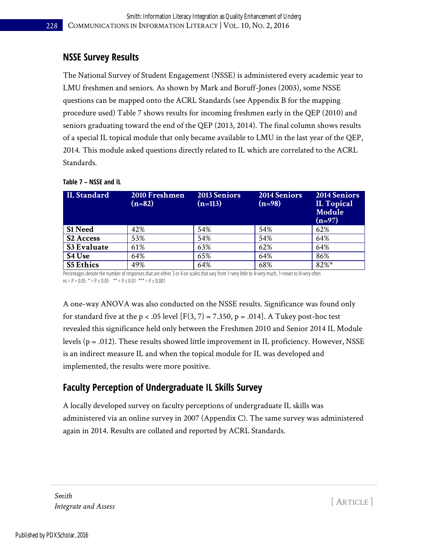## **NSSE Survey Results**

The National Survey of Student Engagement (NSSE) is administered every academic year to LMU freshmen and seniors. As shown by Mark and Boruff-Jones (2003), some NSSE questions can be mapped onto the ACRL Standards (see Appendix B for the mapping procedure used) Table 7 shows results for incoming freshmen early in the QEP (2010) and seniors graduating toward the end of the QEP (2013, 2014). The final column shows results of a special IL topical module that only became available to LMU in the last year of the QEP, 2014. This module asked questions directly related to IL which are correlated to the ACRL Standards.

| <b>IL Standard</b> | 2010 Freshmen<br>$(n=82)$ | <b>2013 Seniors</b><br>$(n=113)$ | <b>2014 Seniors</b><br>$(n=98)$ | <b>2014 Seniors</b><br><b>IL Topical</b><br>Module<br>$(n=97)$ |
|--------------------|---------------------------|----------------------------------|---------------------------------|----------------------------------------------------------------|
| <b>S1 Need</b>     | 42%                       | 54%                              | 54%                             | 62%                                                            |
| <b>S2 Access</b>   | 53%                       | 54%                              | 54%                             | 64%                                                            |
| S3 Evaluate        | 61%                       | 63%                              | 62%                             | 64%                                                            |
| S <sub>4</sub> Use | 64%                       | 65%                              | 64%                             | 86%                                                            |
| <b>S5 Ethics</b>   | 49%                       | 64%                              | 68%                             | 82%*                                                           |

#### **Table 7 – NSSE and IL**

Percentages denote the number of responses that are either 3 or 4 on scales that vary from 1=very little to 4=very much, 1=never to 4=very often  $ns = P > 0.05$  \* =  $P \le 0.05$  \* \* =  $P \le 0.01$  \*\*\* =  $P \le 0.001$ 

A one-way ANOVA was also conducted on the NSSE results. Significance was found only for standard five at the p < .05 level [F(3, 7) = 7.350, p = .014]. A Tukey post-hoc test revealed this significance held only between the Freshmen 2010 and Senior 2014 IL Module levels ( $p = .012$ ). These results showed little improvement in IL proficiency. However, NSSE is an indirect measure IL and when the topical module for IL was developed and implemented, the results were more positive.

## **Faculty Perception of Undergraduate IL Skills Survey**

A locally developed survey on faculty perceptions of undergraduate IL skills was administered via an online survey in 2007 (Appendix C). The same survey was administered again in 2014. Results are collated and reported by ACRL Standards.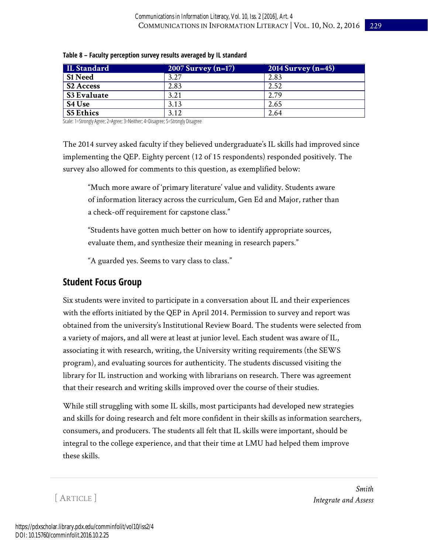| <b>IL Standard</b> | 2007 Survey $(n=17)$ | 2014 Survey $(n=45)$ |
|--------------------|----------------------|----------------------|
| <b>S1 Need</b>     | 3.27                 | 2.83                 |
| S2 Access          | 2.83                 | 2.52                 |
| S3 Evaluate        | 3.21                 | 2.79                 |
| S4 Use             | 3.13                 | 2.65                 |
| S5 Ethics          | 3.12                 | 2.64                 |

#### **Table 8 – Faculty perception survey results averaged by IL standard**

Scale: 1=Strongly Agree; 2=Agree; 3=Neither; 4=Disagree; 5=Strongly Disagree

The 2014 survey asked faculty if they believed undergraduate's IL skills had improved since implementing the QEP. Eighty percent (12 of 15 respondents) responded positively. The survey also allowed for comments to this question, as exemplified below:

"Much more aware of 'primary literature' value and validity. Students aware of information literacy across the curriculum, Gen Ed and Major, rather than a check-off requirement for capstone class."

"Students have gotten much better on how to identify appropriate sources, evaluate them, and synthesize their meaning in research papers."

"A guarded yes. Seems to vary class to class."

## **Student Focus Group**

Six students were invited to participate in a conversation about IL and their experiences with the efforts initiated by the QEP in April 2014. Permission to survey and report was obtained from the university's Institutional Review Board. The students were selected from a variety of majors, and all were at least at junior level. Each student was aware of IL, associating it with research, writing, the University writing requirements (the SEWS program), and evaluating sources for authenticity. The students discussed visiting the library for IL instruction and working with librarians on research. There was agreement that their research and writing skills improved over the course of their studies.

While still struggling with some IL skills, most participants had developed new strategies and skills for doing research and felt more confident in their skills as information searchers, consumers, and producers. The students all felt that IL skills were important, should be integral to the college experience, and that their time at LMU had helped them improve these skills.

[ ARTICLE ]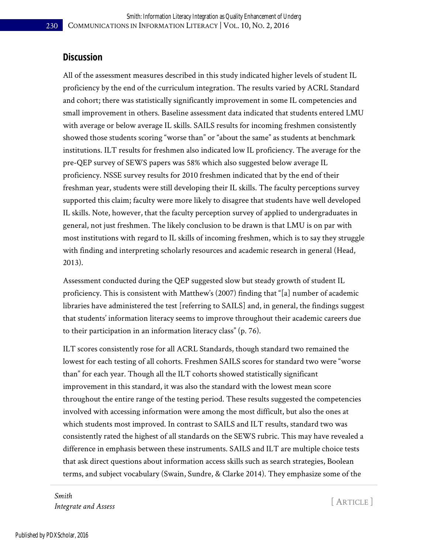### **Discussion**

All of the assessment measures described in this study indicated higher levels of student IL proficiency by the end of the curriculum integration. The results varied by ACRL Standard and cohort; there was statistically significantly improvement in some IL competencies and small improvement in others. Baseline assessment data indicated that students entered LMU with average or below average IL skills. SAILS results for incoming freshmen consistently showed those students scoring "worse than" or "about the same" as students at benchmark institutions. ILT results for freshmen also indicated low IL proficiency. The average for the pre-QEP survey of SEWS papers was 58% which also suggested below average IL proficiency. NSSE survey results for 2010 freshmen indicated that by the end of their freshman year, students were still developing their IL skills. The faculty perceptions survey supported this claim; faculty were more likely to disagree that students have well developed IL skills. Note, however, that the faculty perception survey of applied to undergraduates in general, not just freshmen. The likely conclusion to be drawn is that LMU is on par with most institutions with regard to IL skills of incoming freshmen, which is to say they struggle with finding and interpreting scholarly resources and academic research in general (Head, 2013).

Assessment conducted during the QEP suggested slow but steady growth of student IL proficiency. This is consistent with Matthew's (2007) finding that "[a] number of academic libraries have administered the test [referring to SAILS] and, in general, the findings suggest that students' information literacy seems to improve throughout their academic careers due to their participation in an information literacy class" (p. 76).

ILT scores consistently rose for all ACRL Standards, though standard two remained the lowest for each testing of all cohorts. Freshmen SAILS scores for standard two were "worse than" for each year. Though all the ILT cohorts showed statistically significant improvement in this standard, it was also the standard with the lowest mean score throughout the entire range of the testing period. These results suggested the competencies involved with accessing information were among the most difficult, but also the ones at which students most improved. In contrast to SAILS and ILT results, standard two was consistently rated the highest of all standards on the SEWS rubric. This may have revealed a difference in emphasis between these instruments. SAILS and ILT are multiple choice tests that ask direct questions about information access skills such as search strategies, Boolean terms, and subject vocabulary (Swain, Sundre, & Clarke 2014). They emphasize some of the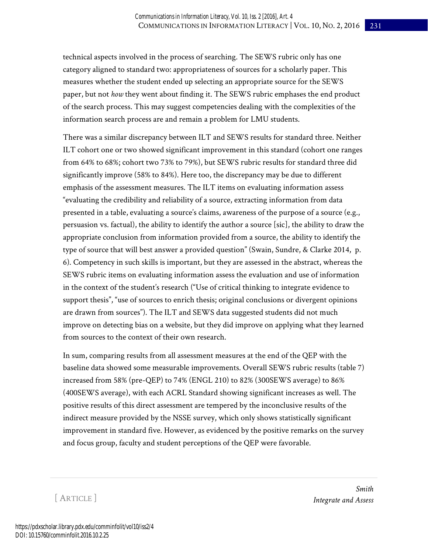technical aspects involved in the process of searching. The SEWS rubric only has one category aligned to standard two: appropriateness of sources for a scholarly paper. This measures whether the student ended up selecting an appropriate source for the SEWS paper, but not *how* they went about finding it. The SEWS rubric emphases the end product of the search process. This may suggest competencies dealing with the complexities of the information search process are and remain a problem for LMU students.

There was a similar discrepancy between ILT and SEWS results for standard three. Neither ILT cohort one or two showed significant improvement in this standard (cohort one ranges from 64% to 68%; cohort two 73% to 79%), but SEWS rubric results for standard three did significantly improve (58% to 84%). Here too, the discrepancy may be due to different emphasis of the assessment measures. The ILT items on evaluating information assess "evaluating the credibility and reliability of a source, extracting information from data presented in a table, evaluating a source's claims, awareness of the purpose of a source (e.g., persuasion vs. factual), the ability to identify the author a source [sic], the ability to draw the appropriate conclusion from information provided from a source, the ability to identify the type of source that will best answer a provided question" (Swain, Sundre, & Clarke 2014, p. 6). Competency in such skills is important, but they are assessed in the abstract, whereas the SEWS rubric items on evaluating information assess the evaluation and use of information in the context of the student's research ("Use of critical thinking to integrate evidence to support thesis", "use of sources to enrich thesis; original conclusions or divergent opinions are drawn from sources"). The ILT and SEWS data suggested students did not much improve on detecting bias on a website, but they did improve on applying what they learned from sources to the context of their own research.

In sum, comparing results from all assessment measures at the end of the QEP with the baseline data showed some measurable improvements. Overall SEWS rubric results (table 7) increased from 58% (pre-QEP) to 74% (ENGL 210) to 82% (300SEWS average) to 86% (400SEWS average), with each ACRL Standard showing significant increases as well. The positive results of this direct assessment are tempered by the inconclusive results of the indirect measure provided by the NSSE survey, which only shows statistically significant improvement in standard five. However, as evidenced by the positive remarks on the survey and focus group, faculty and student perceptions of the QEP were favorable.

[ ARTICLE ]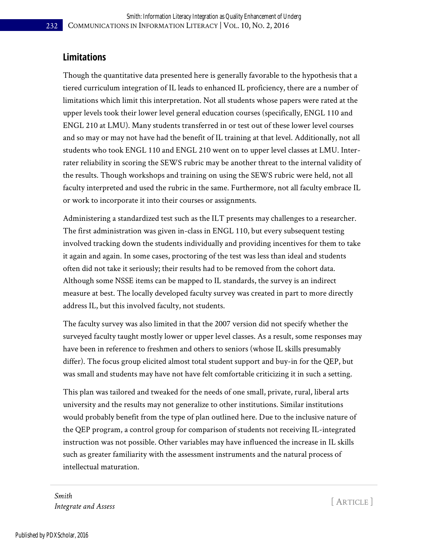### **Limitations**

Though the quantitative data presented here is generally favorable to the hypothesis that a tiered curriculum integration of IL leads to enhanced IL proficiency, there are a number of limitations which limit this interpretation. Not all students whose papers were rated at the upper levels took their lower level general education courses (specifically, ENGL 110 and ENGL 210 at LMU). Many students transferred in or test out of these lower level courses and so may or may not have had the benefit of IL training at that level. Additionally, not all students who took ENGL 110 and ENGL 210 went on to upper level classes at LMU. Interrater reliability in scoring the SEWS rubric may be another threat to the internal validity of the results. Though workshops and training on using the SEWS rubric were held, not all faculty interpreted and used the rubric in the same. Furthermore, not all faculty embrace IL or work to incorporate it into their courses or assignments.

Administering a standardized test such as the ILT presents may challenges to a researcher. The first administration was given in-class in ENGL 110, but every subsequent testing involved tracking down the students individually and providing incentives for them to take it again and again. In some cases, proctoring of the test was less than ideal and students often did not take it seriously; their results had to be removed from the cohort data. Although some NSSE items can be mapped to IL standards, the survey is an indirect measure at best. The locally developed faculty survey was created in part to more directly address IL, but this involved faculty, not students.

The faculty survey was also limited in that the 2007 version did not specify whether the surveyed faculty taught mostly lower or upper level classes. As a result, some responses may have been in reference to freshmen and others to seniors (whose IL skills presumably differ). The focus group elicited almost total student support and buy-in for the QEP, but was small and students may have not have felt comfortable criticizing it in such a setting.

This plan was tailored and tweaked for the needs of one small, private, rural, liberal arts university and the results may not generalize to other institutions. Similar institutions would probably benefit from the type of plan outlined here. Due to the inclusive nature of the QEP program, a control group for comparison of students not receiving IL-integrated instruction was not possible. Other variables may have influenced the increase in IL skills such as greater familiarity with the assessment instruments and the natural process of intellectual maturation.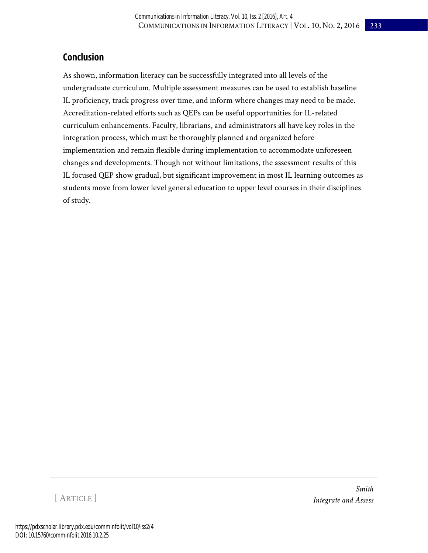# **Conclusion**

As shown, information literacy can be successfully integrated into all levels of the undergraduate curriculum. Multiple assessment measures can be used to establish baseline IL proficiency, track progress over time, and inform where changes may need to be made. Accreditation-related efforts such as QEPs can be useful opportunities for IL-related curriculum enhancements. Faculty, librarians, and administrators all have key roles in the integration process, which must be thoroughly planned and organized before implementation and remain flexible during implementation to accommodate unforeseen changes and developments. Though not without limitations, the assessment results of this IL focused QEP show gradual, but significant improvement in most IL learning outcomes as students move from lower level general education to upper level courses in their disciplines of study.

[ ARTICLE ]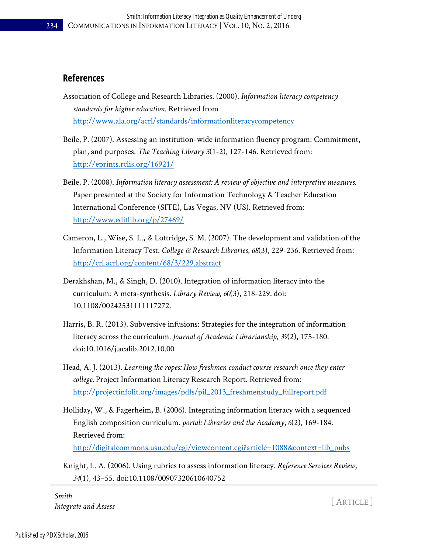### **References**

- Association of College and Research Libraries. (2000). *Information literacy competency standards for higher education*. Retrieved from <http://www.ala.org/acrl/standards/informationliteracycompetency>
- Beile, P. (2007). Assessing an institution-wide information fluency program: Commitment, plan, and purposes. *The Teaching Library 3*(1-2), 127-146. Retrieved from: <http://eprints.rclis.org/16921/>
- Beile, P. (2008). *Information literacy assessment: A review of objective and interpretive measures.*  Paper presented at the Society for Information Technology & Teacher Education International Conference (SITE), Las Vegas, NV (US). Retrieved from: <http://www.editlib.org/p/27469/>
- Cameron, L., Wise, S. L., & Lottridge, S. M. (2007). The development and validation of the Information Literacy Test. *College & Research Libraries*, *68*(3), 229-236. Retrieved from: <http://crl.acrl.org/content/68/3/229.abstract>
- Derakhshan, M., & Singh, D. (2010). Integration of information literacy into the curriculum: A meta-synthesis. *Library Review, 60*(3), 218-229. doi: 10.1108/00242531111117272.
- Harris, B. R. (2013). Subversive infusions: Strategies for the integration of information literacy across the curriculum. *Journal of Academic Librarianship*, *39*(2), 175-180. doi:10.1016/j.acalib.2012.10.00
- Head, A. J. (2013). *Learning the ropes: How freshmen conduct course research once they enter college.* Project Information Literacy Research Report. Retrieved from: [http://projectinfolit.org/images/pdfs/pil\\_2013\\_freshmenstudy\\_fullreport.pdf](http://projectinfolit.org/images/pdfs/pil_2013_freshmenstudy_fullreport.pdf)
- Holliday, W., & Fagerheim, B. (2006). Integrating information literacy with a sequenced English composition curriculum. *portal: Libraries and the Academy*, *6*(2), 169-184. Retrieved from:

[http://digitalcommons.usu.edu/cgi/viewcontent.cgi?article=1088&context=lib\\_pubs](http://digitalcommons.usu.edu/cgi/viewcontent.cgi?article=1088&context=lib_pubs) 

Knight, L. A. (2006). Using rubrics to assess information literacy. *Reference Services Review*, *34*(1), 43–55. doi:10.1108/00907320610640752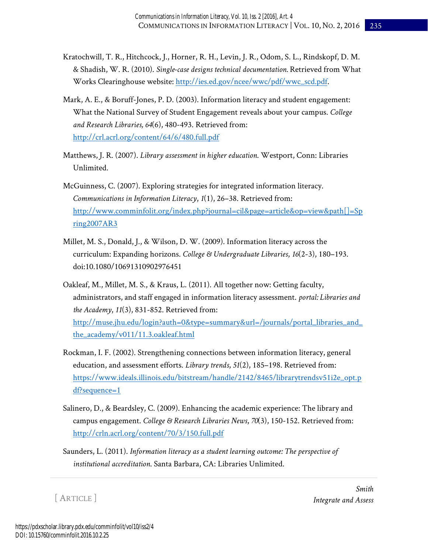- Kratochwill, T. R., Hitchcock, J., Horner, R. H., Levin, J. R., Odom, S. L., Rindskopf, D. M. & Shadish, W. R. (2010). *Single-case designs technical documentation.* Retrieved from What Works Clearinghouse website: [http://ies.ed.gov/ncee/wwc/pdf/wwc\\_scd.pdf.](http://ies.ed.gov/ncee/wwc/pdf/wwc_scd.pdf)
- Mark, A. E., & Boruff-Jones, P. D. (2003). Information literacy and student engagement: What the National Survey of Student Engagement reveals about your campus. *College and Research Libraries, 64*(6), 480-493. Retrieved from: <http://crl.acrl.org/content/64/6/480.full.pdf>
- Matthews, J. R. (2007). *Library assessment in higher education*. Westport, Conn: Libraries Unlimited.
- McGuinness, C. (2007). Exploring strategies for integrated information literacy. *Communications in Information Literacy*, *1*(1), 26–38. Retrieved from: [http://www.comminfolit.org/index.php?journal=cil&page=article&op=view&path\[\]=Sp](http://www.comminfolit.org/index.php?journal=cil&page=article&op=view&path%5b%5d=Spring2007AR3) [ring2007AR3](http://www.comminfolit.org/index.php?journal=cil&page=article&op=view&path%5b%5d=Spring2007AR3)
- Millet, M. S., Donald, J., & Wilson, D. W. (2009). Information literacy across the curriculum: Expanding horizons. *College & Undergraduate Libraries*, *16*(2-3), 180–193. doi:10.1080/10691310902976451
- Oakleaf, M., Millet, M. S., & Kraus, L. (2011). All together now: Getting faculty, administrators, and staff engaged in information literacy assessment. *portal: Libraries and the Academy*, *11*(3), 831-852. Retrieved from: [http://muse.jhu.edu/login?auth=0&type=summary&url=/journals/portal\\_libraries\\_and\\_](http://muse.jhu.edu/login?auth=0&type=summary&url=/journals/portal_libraries_and_the_academy/v011/11.3.oakleaf.html) [the\\_academy/v011/11.3.oakleaf.html](http://muse.jhu.edu/login?auth=0&type=summary&url=/journals/portal_libraries_and_the_academy/v011/11.3.oakleaf.html)
- Rockman, I. F. (2002). Strengthening connections between information literacy, general education, and assessment efforts. *Library trends*, *51*(2), 185–198. Retrieved from: [https://www.ideals.illinois.edu/bitstream/handle/2142/8465/librarytrendsv51i2e\\_opt.p](https://www.ideals.illinois.edu/bitstream/handle/2142/8465/librarytrendsv51i2e_opt.pdf?sequence=1) [df?sequence=1](https://www.ideals.illinois.edu/bitstream/handle/2142/8465/librarytrendsv51i2e_opt.pdf?sequence=1)
- Salinero, D., & Beardsley, C. (2009). Enhancing the academic experience: The library and campus engagement. *College & Research Libraries News*, *70*(3), 150-152. Retrieved from: <http://crln.acrl.org/content/70/3/150.full.pdf>
- Saunders, L. (2011). *Information literacy as a student learning outcome: The perspective of institutional accreditation*. Santa Barbara, CA: Libraries Unlimited.

[ ARTICLE ]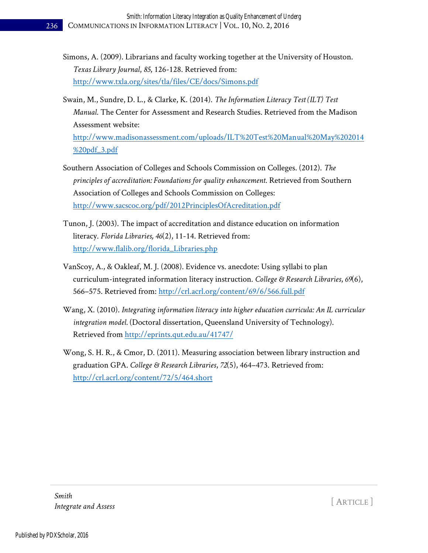- Simons, A. (2009). Librarians and faculty working together at the University of Houston. *Texas Library Journal*, *85*, 126-128. Retrieved from: <http://www.txla.org/sites/tla/files/CE/docs/Simons.pdf>
- Swain, M., Sundre, D. L., & Clarke, K. (2014). *The Information Literacy Test (ILT) Test Manual*. The Center for Assessment and Research Studies. Retrieved from the Madison Assessment website:

[http://www.madisonassessment.com/uploads/ILT%20Test%20Manual%20May%202014](http://www.madisonassessment.com/uploads/ILT%20Test%20Manual%20May%202014%20pdf_3.pdf) [%20pdf\\_3.pdf](http://www.madisonassessment.com/uploads/ILT%20Test%20Manual%20May%202014%20pdf_3.pdf) 

- Southern Association of Colleges and Schools Commission on Colleges. (2012). *The principles of accreditation: Foundations for quality enhancement*. Retrieved from Southern Association of Colleges and Schools Commission on Colleges: <http://www.sacscoc.org/pdf/2012PrinciplesOfAcreditation.pdf>
- Tunon, J. (2003). The impact of accreditation and distance education on information literacy. *Florida Libraries, 46*(2), 11-14. Retrieved from: [http://www.flalib.org/florida\\_Libraries.php](http://www.flalib.org/florida_Libraries.php)
- VanScoy, A., & Oakleaf, M. J. (2008). Evidence vs. anecdote: Using syllabi to plan curriculum-integrated information literacy instruction. *College & Research Libraries*, *69*(6), 566–575. Retrieved from:<http://crl.acrl.org/content/69/6/566.full.pdf>
- Wang, X. (2010). *Integrating information literacy into higher education curricula: An IL curricular integration model.* (Doctoral dissertation, Queensland University of Technology). Retrieved from<http://eprints.qut.edu.au/41747/>
- Wong, S. H. R., & Cmor, D. (2011). Measuring association between library instruction and graduation GPA. *College & Research Libraries*, *72*(5), 464–473. Retrieved from: <http://crl.acrl.org/content/72/5/464.short>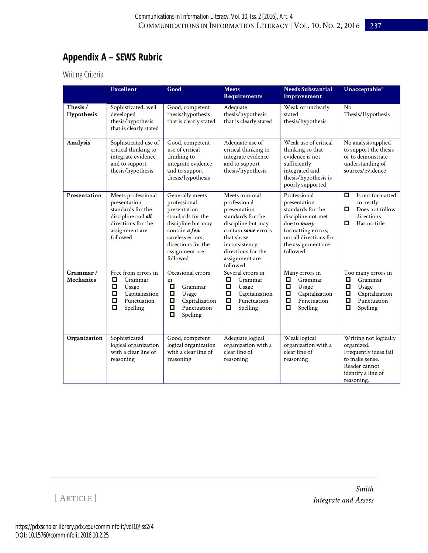# **Appendix A – SEWS Rubric**

Writing Criteria

|                              | <b>Excellent</b>                                                                                                                  | Good                                                                                                                                                                                      | <b>Meets</b><br><b>Requirements</b>                                                                                                                                                                | <b>Needs Substantial</b><br>Improvement                                                                                                                                  | Unacceptable*                                                                                                                       |
|------------------------------|-----------------------------------------------------------------------------------------------------------------------------------|-------------------------------------------------------------------------------------------------------------------------------------------------------------------------------------------|----------------------------------------------------------------------------------------------------------------------------------------------------------------------------------------------------|--------------------------------------------------------------------------------------------------------------------------------------------------------------------------|-------------------------------------------------------------------------------------------------------------------------------------|
| Thesis /<br>Hypothesis       | Sophisticated, well<br>developed<br>thesis/hypothesis<br>that is clearly stated                                                   | Good, competent<br>thesis/hypothesis<br>that is clearly stated                                                                                                                            | Adequate<br>thesis/hypothesis<br>that is clearly stated                                                                                                                                            | Weak or unclearly<br>stated<br>thesis/hypothesis                                                                                                                         | No<br>Thesis/Hypothesis                                                                                                             |
| Analysis                     | Sophisticated use of<br>critical thinking to<br>integrate evidence<br>and to support<br>thesis/hypothesis                         | Good, competent<br>use of critical<br>thinking to<br>integrate evidence<br>and to support<br>thesis/hypothesis                                                                            | Adequate use of<br>critical thinking to<br>integrate evidence<br>and to support<br>thesis/hypothesis                                                                                               | Weak use of critical<br>thinking so that<br>evidence is not<br>sufficiently<br>integrated and<br>thesis/hypothesis is<br>poorly supported                                | No analysis applied<br>to support the thesis<br>or to demonstrate<br>understanding of<br>sources/evidence                           |
| Presentation                 | Meets professional<br>presentation<br>standards for the<br>discipline and all<br>directions for the<br>assignment are<br>followed | Generally meets<br>professional<br>presentation<br>standards for the<br>discipline but may<br>contain <i>afew</i><br>careless errors;<br>directions for the<br>assignment are<br>followed | Meets minimal<br>professional<br>presentation<br>standards for the<br>discipline but may<br>contain some errors<br>that show<br>inconsistency;<br>directions for the<br>assignment are<br>followed | Professional<br>presentation<br>standards for the<br>discipline not met<br>due to many<br>formatting errors;<br>not all directions for<br>the assignment are<br>followed | Is not formatted<br>о<br>correctly<br>о<br>Does not follow<br>directions<br>о<br>Has no title                                       |
| Grammar/<br><b>Mechanics</b> | Free from errors in<br>о<br>Grammar<br>$\Box$<br>Usage<br>$\Box$<br>Capitalization<br>$\Box$<br>Punctuation<br>$\Box$<br>Spelling | Occasional errors<br>in<br>$\Box$<br>Grammar<br>$\Box$<br>Usage<br>Д<br>Capitalization<br>$\Box$<br>Punctuation<br>$\Box$<br>Spelling                                                     | Several errors in<br>$\Box$<br>Grammar<br>$\Box$<br>Usage<br>$\Box$<br>Capitalization<br>$\Box$<br>Punctuation<br>$\Box$<br>Spelling                                                               | Many errors in<br>$\Box$<br>Grammar<br>о<br>Usage<br>$\Box$<br>Capitalization<br>$\Box$<br>Punctuation<br>о<br>Spelling                                                  | Too many errors in<br>Ω<br>Grammar<br>О<br>Usage<br>$\Box$<br>Capitalization<br>$\Box$<br>Punctuation<br>$\Box$<br>Spelling         |
| Organization                 | Sophisticated<br>logical organization<br>with a clear line of<br>reasoning                                                        | Good, competent<br>logical organization<br>with a clear line of<br>reasoning                                                                                                              | Adequate logical<br>organization with a<br>clear line of<br>reasoning                                                                                                                              | Weak logical<br>organization with a<br>clear line of<br>reasoning                                                                                                        | Writing not logically<br>organized.<br>Frequently ideas fail<br>to make sense.<br>Reader cannot<br>identify a line of<br>reasoning. |

[ ARTICLE ]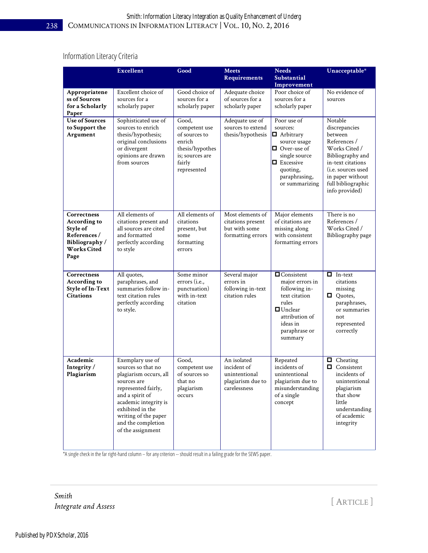### Information Literacy Criteria

|                                                                                                              | <b>Excellent</b>                                                                                                                                                                                                                          | Good                                                                                                             | <b>Meets</b><br><b>Requirements</b>                                              | <b>Needs</b><br>Substantial                                                                                                                                                     | Unacceptable*                                                                                                                                                                                           |
|--------------------------------------------------------------------------------------------------------------|-------------------------------------------------------------------------------------------------------------------------------------------------------------------------------------------------------------------------------------------|------------------------------------------------------------------------------------------------------------------|----------------------------------------------------------------------------------|---------------------------------------------------------------------------------------------------------------------------------------------------------------------------------|---------------------------------------------------------------------------------------------------------------------------------------------------------------------------------------------------------|
|                                                                                                              |                                                                                                                                                                                                                                           |                                                                                                                  |                                                                                  | Improvement                                                                                                                                                                     |                                                                                                                                                                                                         |
| Appropriatene<br>ss of Sources<br>for a Scholarly<br>Paper                                                   | Excellent choice of<br>sources for a<br>scholarly paper                                                                                                                                                                                   | Good choice of<br>sources for a<br>scholarly paper                                                               | Adequate choice<br>of sources for a<br>scholarly paper                           | Poor choice of<br>sources for a<br>scholarly paper                                                                                                                              | No evidence of<br>sources                                                                                                                                                                               |
| <b>Use of Sources</b><br>to Support the<br>Argument                                                          | Sophisticated use of<br>sources to enrich<br>thesis/hypothesis;<br>original conclusions<br>or divergent<br>opinions are drawn<br>from sources                                                                                             | Good,<br>competent use<br>of sources to<br>enrich<br>thesis/hypothes<br>is; sources are<br>fairly<br>represented | Adequate use of<br>sources to extend<br>thesis/hypothesis                        | Poor use of<br>sources:<br><b>□</b> Arbitrary<br>source usage<br>$\Box$ Over-use of<br>single source<br>$\blacksquare$ Excessive<br>quoting,<br>paraphrasing,<br>or summarizing | Notable<br>discrepancies<br>between<br>References /<br>Works Cited /<br>Bibliography and<br>in-text citations<br>( <i>i.e.</i> sources used<br>in paper without<br>full bibliographic<br>info provided) |
| Correctness<br><b>According to</b><br>Style of<br>References/<br>Bibliography/<br><b>Works Cited</b><br>Page | All elements of<br>citations present and<br>all sources are cited<br>and formatted<br>perfectly according<br>to style                                                                                                                     | All elements of<br>citations<br>present, but<br>some<br>formatting<br>errors                                     | Most elements of<br>citations present<br>but with some<br>formatting errors      | Major elements<br>of citations are<br>missing along<br>with consistent<br>formatting errors                                                                                     | There is no<br>References /<br>Works Cited /<br>Bibliography page                                                                                                                                       |
| Correctness<br>According to<br><b>Style of In-Text</b><br><b>Citations</b>                                   | All quotes,<br>paraphrases, and<br>summaries follow in-<br>text citation rules<br>perfectly according<br>to style.                                                                                                                        | Some minor<br>errors (i.e.,<br>punctuation)<br>with in-text<br>citation                                          | Several major<br>errors in<br>following in-text<br>citation rules                | $\blacksquare$ Consistent<br>major errors in<br>following in-<br>text citation<br>rules<br>$\Box$ Unclear<br>attribution of<br>ideas in<br>paraphrase or<br>summary             | $\Box$ In-text<br>citations<br>missing<br>$\Box$ Quotes,<br>paraphrases,<br>or summaries<br>not<br>represented<br>correctly                                                                             |
| Academic<br>Integrity /<br>Plagiarism                                                                        | Exemplary use of<br>sources so that no<br>plagiarism occurs, all<br>sources are<br>represented fairly,<br>and a spirit of<br>academic integrity is<br>exhibited in the<br>writing of the paper<br>and the completion<br>of the assignment | Good,<br>competent use<br>of sources so<br>that no<br>plagiarism<br>occurs                                       | An isolated<br>incident of<br>unintentional<br>plagiarism due to<br>carelessness | Repeated<br>incidents of<br>unintentional<br>plagiarism due to<br>misunderstanding<br>of a single<br>concept                                                                    | $\Box$ Cheating<br>Consistent<br>0<br>incidents of<br>unintentional<br>plagiarism<br>that show<br>little<br>understanding<br>of academic<br>integrity                                                   |

\*A single check in the far right-hand column – for any criterion -- should result in a failing grade for the SEWS paper.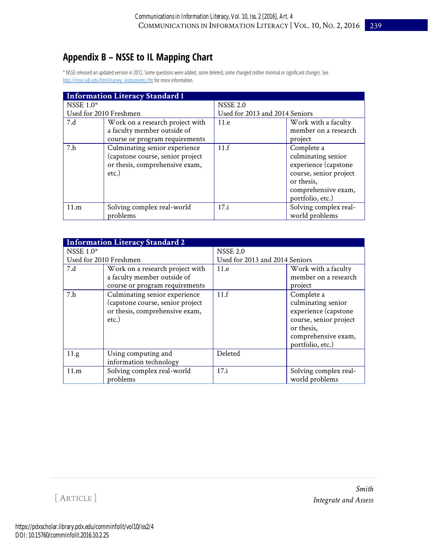# **Appendix B – NSSE to IL Mapping Chart**

\* NSSE released an updated version in 2012. Some questions were added, some deleted, some changed (either minimal or significant change). See [http://nsse.iub.edu/html/survey\\_instruments.cfm f](http://nsse.iub.edu/html/survey_instruments.cfm)or more information.

|             | <b>Information Literacy Standard 1</b>                                                                       |                                |                                                                                                                                             |
|-------------|--------------------------------------------------------------------------------------------------------------|--------------------------------|---------------------------------------------------------------------------------------------------------------------------------------------|
| NSSE $1.0*$ |                                                                                                              | <b>NSSE 2.0</b>                |                                                                                                                                             |
|             | Used for 2010 Freshmen                                                                                       | Used for 2013 and 2014 Seniors |                                                                                                                                             |
| 7.d         | Work on a research project with<br>a faculty member outside of<br>course or program requirements             | 11.e                           | Work with a faculty<br>member on a research<br>project                                                                                      |
| 7.h         | Culminating senior experience<br>(capstone course, senior project<br>or thesis, comprehensive exam,<br>etc.) | 11.f                           | Complete a<br>culminating senior<br>experience (capstone<br>course, senior project<br>or thesis,<br>comprehensive exam,<br>portfolio, etc.) |
| 11.m        | Solving complex real-world<br>problems                                                                       | 17.i                           | Solving complex real-<br>world problems                                                                                                     |

|                  | <b>Information Literacy Standard 2</b>                                                                          |                                |                                                                                                                                             |
|------------------|-----------------------------------------------------------------------------------------------------------------|--------------------------------|---------------------------------------------------------------------------------------------------------------------------------------------|
| <b>NSSE 1.0*</b> |                                                                                                                 | <b>NSSE 2.0</b>                |                                                                                                                                             |
|                  | Used for 2010 Freshmen                                                                                          | Used for 2013 and 2014 Seniors |                                                                                                                                             |
| 7.d              | Work on a research project with<br>a faculty member outside of<br>course or program requirements                | 11.e                           | Work with a faculty<br>member on a research<br>project                                                                                      |
| 7.h              | Culminating senior experience<br>(capstone course, senior project<br>or thesis, comprehensive exam,<br>$etc.$ ) | 11.f                           | Complete a<br>culminating senior<br>experience (capstone<br>course, senior project<br>or thesis,<br>comprehensive exam,<br>portfolio, etc.) |
| 11.g             | Using computing and<br>information technology                                                                   | Deleted                        |                                                                                                                                             |
| 11.m             | Solving complex real-world<br>problems                                                                          | 17.i                           | Solving complex real-<br>world problems                                                                                                     |

[ ARTICLE ]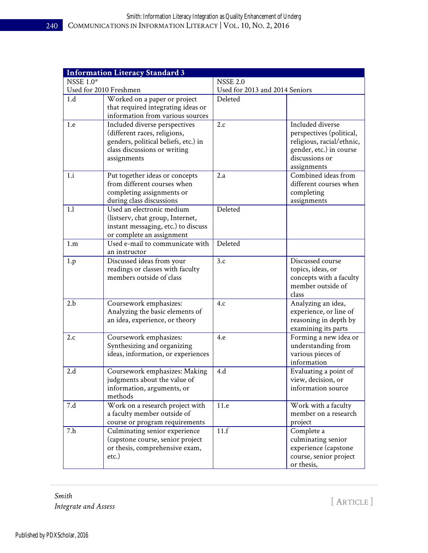| <b>Information Literacy Standard 3</b> |                                                                                                                                                      |                                |                                                                                                                                       |  |
|----------------------------------------|------------------------------------------------------------------------------------------------------------------------------------------------------|--------------------------------|---------------------------------------------------------------------------------------------------------------------------------------|--|
| <b>NSSE 1.0*</b>                       |                                                                                                                                                      | <b>NSSE 2.0</b>                |                                                                                                                                       |  |
| Used for 2010 Freshmen                 |                                                                                                                                                      | Used for 2013 and 2014 Seniors |                                                                                                                                       |  |
| 1.d                                    | Worked on a paper or project<br>that required integrating ideas or<br>information from various sources                                               | Deleted                        |                                                                                                                                       |  |
| 1.e                                    | Included diverse perspectives<br>(different races, religions,<br>genders, political beliefs, etc.) in<br>class discussions or writing<br>assignments | 2.c                            | Included diverse<br>perspectives (political,<br>religious, racial/ethnic,<br>gender, etc.) in course<br>discussions or<br>assignments |  |
| 1.i                                    | Put together ideas or concepts<br>from different courses when<br>completing assignments or<br>during class discussions                               | 2.a                            | Combined ideas from<br>different courses when<br>completing<br>assignments                                                            |  |
| 1.1                                    | Used an electronic medium<br>(listserv, chat group, Internet,<br>instant messaging, etc.) to discuss<br>or complete an assignment                    | Deleted                        |                                                                                                                                       |  |
| 1.m                                    | Used e-mail to communicate with<br>an instructor                                                                                                     | Deleted                        |                                                                                                                                       |  |
| 1.p                                    | Discussed ideas from your<br>readings or classes with faculty<br>members outside of class                                                            | 3.c                            | Discussed course<br>topics, ideas, or<br>concepts with a faculty<br>member outside of<br>class                                        |  |
| 2.b                                    | Coursework emphasizes:<br>Analyzing the basic elements of<br>an idea, experience, or theory                                                          | 4.c                            | Analyzing an idea,<br>experience, or line of<br>reasoning in depth by<br>examining its parts                                          |  |
| 2.c                                    | Coursework emphasizes:<br>Synthesizing and organizing<br>ideas, information, or experiences                                                          | 4.e                            | Forming a new idea or<br>understanding from<br>various pieces of<br>information                                                       |  |
| 2.d                                    | Coursework emphasizes: Making<br>judgments about the value of<br>information, arguments, or<br>methods                                               | 4.d                            | Evaluating a point of<br>view, decision, or<br>information source                                                                     |  |
| 7.d                                    | Work on a research project with<br>a faculty member outside of<br>course or program requirements                                                     | 11.e                           | Work with a faculty<br>member on a research<br>project                                                                                |  |
| 7.h                                    | Culminating senior experience<br>(capstone course, senior project<br>or thesis, comprehensive exam,<br>etc.)                                         | 11.f                           | Complete a<br>culminating senior<br>experience (capstone<br>course, senior project<br>or thesis,                                      |  |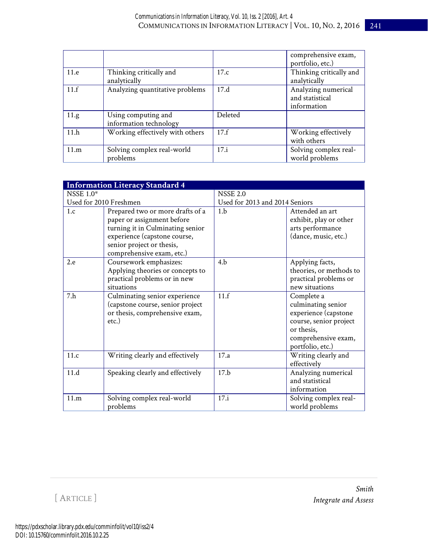|      |                                               |                 | comprehensive exam,<br>portfolio, etc.)               |
|------|-----------------------------------------------|-----------------|-------------------------------------------------------|
| 11.e | Thinking critically and<br>analytically       | 17 <sub>c</sub> | Thinking critically and<br>analytically               |
| 11.f | Analyzing quantitative problems               | 17.d            | Analyzing numerical<br>and statistical<br>information |
| 11.g | Using computing and<br>information technology | Deleted         |                                                       |
| 11.h | Working effectively with others               | 17.f            | Working effectively<br>with others                    |
| 11.m | Solving complex real-world<br>problems        | 17.i            | Solving complex real-<br>world problems               |

| <b>Information Literacy Standard 4</b> |                                                                                                                                                                                              |                                |                                                                                                                                             |  |  |
|----------------------------------------|----------------------------------------------------------------------------------------------------------------------------------------------------------------------------------------------|--------------------------------|---------------------------------------------------------------------------------------------------------------------------------------------|--|--|
| <b>NSSE 1.0*</b>                       |                                                                                                                                                                                              | <b>NSSE 2.0</b>                |                                                                                                                                             |  |  |
| Used for 2010 Freshmen                 |                                                                                                                                                                                              | Used for 2013 and 2014 Seniors |                                                                                                                                             |  |  |
| 1.c                                    | Prepared two or more drafts of a<br>paper or assignment before<br>turning it in Culminating senior<br>experience (capstone course,<br>senior project or thesis,<br>comprehensive exam, etc.) | 1.b                            | Attended an art<br>exhibit, play or other<br>arts performance<br>(dance, music, etc.)                                                       |  |  |
| 2.e                                    | Coursework emphasizes:<br>Applying theories or concepts to<br>practical problems or in new<br>situations                                                                                     | 4.b                            | Applying facts,<br>theories, or methods to<br>practical problems or<br>new situations                                                       |  |  |
| 7.h                                    | Culminating senior experience<br>(capstone course, senior project<br>or thesis, comprehensive exam,<br>$etc.$ )                                                                              | 11.f                           | Complete a<br>culminating senior<br>experience (capstone<br>course, senior project<br>or thesis,<br>comprehensive exam,<br>portfolio, etc.) |  |  |
| 11.c                                   | Writing clearly and effectively                                                                                                                                                              | 17.a                           | Writing clearly and<br>effectively                                                                                                          |  |  |
| 11.d                                   | Speaking clearly and effectively                                                                                                                                                             | 17.b                           | Analyzing numerical<br>and statistical<br>information                                                                                       |  |  |
| 11.m                                   | Solving complex real-world<br>problems                                                                                                                                                       | 17.i                           | Solving complex real-<br>world problems                                                                                                     |  |  |

[ ARTICLE ]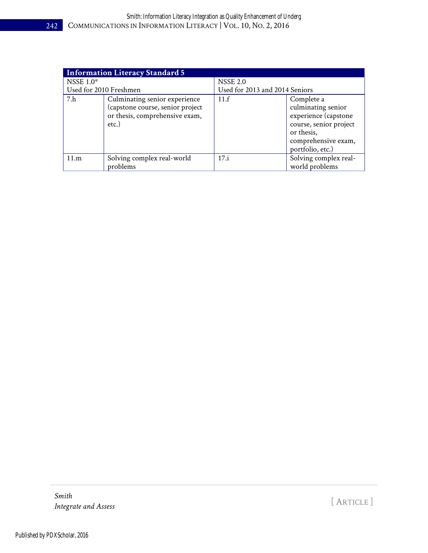| <b>Information Literacy Standard 5</b> |                                                                                                                 |                                |                                                                                                                                             |  |  |
|----------------------------------------|-----------------------------------------------------------------------------------------------------------------|--------------------------------|---------------------------------------------------------------------------------------------------------------------------------------------|--|--|
| NSSE $1.0*$                            |                                                                                                                 | <b>NSSE 2.0</b>                |                                                                                                                                             |  |  |
| Used for 2010 Freshmen                 |                                                                                                                 | Used for 2013 and 2014 Seniors |                                                                                                                                             |  |  |
| 7.h                                    | Culminating senior experience<br>(capstone course, senior project<br>or thesis, comprehensive exam,<br>$etc.$ ) | 11.f                           | Complete a<br>culminating senior<br>experience (capstone<br>course, senior project<br>or thesis,<br>comprehensive exam,<br>portfolio, etc.) |  |  |
| 11.m                                   | Solving complex real-world<br>problems                                                                          | 17.i                           | Solving complex real-<br>world problems                                                                                                     |  |  |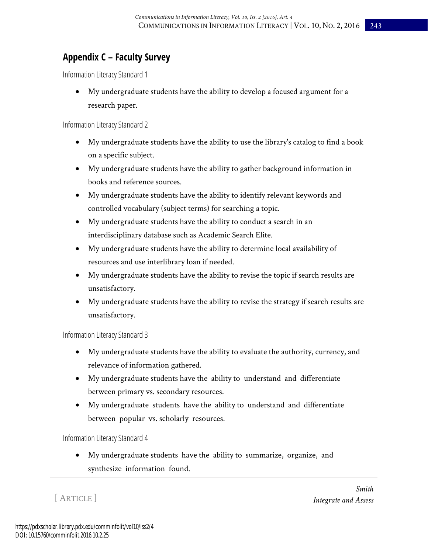# **Appendix C – Faculty Survey**

Information Literacy Standard 1

 My undergraduate students have the ability to develop a focused argument for a research paper.

Information Literacy Standard 2

- My undergraduate students have the ability to use the library's catalog to find a book on a specific subject.
- My undergraduate students have the ability to gather background information in books and reference sources.
- My undergraduate students have the ability to identify relevant keywords and controlled vocabulary (subject terms) for searching a topic.
- My undergraduate students have the ability to conduct a search in an interdisciplinary database such as Academic Search Elite.
- My undergraduate students have the ability to determine local availability of resources and use interlibrary loan if needed.
- My undergraduate students have the ability to revise the topic if search results are unsatisfactory.
- My undergraduate students have the ability to revise the strategy if search results are unsatisfactory.

Information Literacy Standard 3

- My undergraduate students have the ability to evaluate the authority, currency, and relevance of information gathered.
- My undergraduate students have the ability to understand and differentiate between primary vs. secondary resources.
- My undergraduate students have the ability to understand and differentiate between popular vs. scholarly resources.

Information Literacy Standard 4

 My undergraduate students have the ability to summarize, organize, and synthesize information found.

[ ARTICLE ]